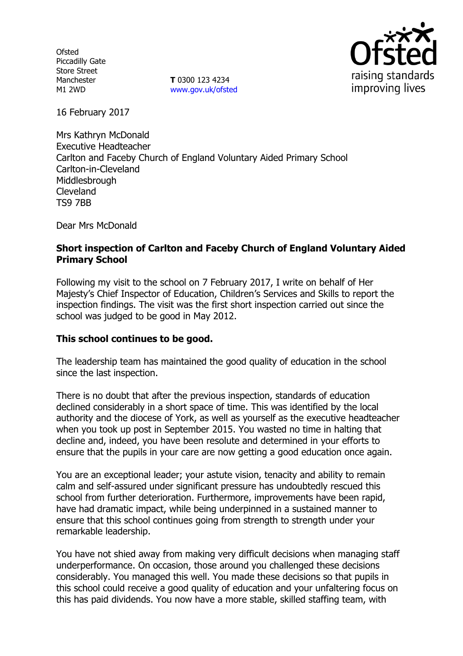**Ofsted** Piccadilly Gate Store Street Manchester M1 2WD

**T** 0300 123 4234 www.gov.uk/ofsted



16 February 2017

Mrs Kathryn McDonald Executive Headteacher Carlton and Faceby Church of England Voluntary Aided Primary School Carlton-in-Cleveland **Middlesbrough** Cleveland TS9 7BB

Dear Mrs McDonald

## **Short inspection of Carlton and Faceby Church of England Voluntary Aided Primary School**

Following my visit to the school on 7 February 2017, I write on behalf of Her Majesty's Chief Inspector of Education, Children's Services and Skills to report the inspection findings. The visit was the first short inspection carried out since the school was judged to be good in May 2012.

## **This school continues to be good.**

The leadership team has maintained the good quality of education in the school since the last inspection.

There is no doubt that after the previous inspection, standards of education declined considerably in a short space of time. This was identified by the local authority and the diocese of York, as well as yourself as the executive headteacher when you took up post in September 2015. You wasted no time in halting that decline and, indeed, you have been resolute and determined in your efforts to ensure that the pupils in your care are now getting a good education once again.

You are an exceptional leader; your astute vision, tenacity and ability to remain calm and self-assured under significant pressure has undoubtedly rescued this school from further deterioration. Furthermore, improvements have been rapid, have had dramatic impact, while being underpinned in a sustained manner to ensure that this school continues going from strength to strength under your remarkable leadership.

You have not shied away from making very difficult decisions when managing staff underperformance. On occasion, those around you challenged these decisions considerably. You managed this well. You made these decisions so that pupils in this school could receive a good quality of education and your unfaltering focus on this has paid dividends. You now have a more stable, skilled staffing team, with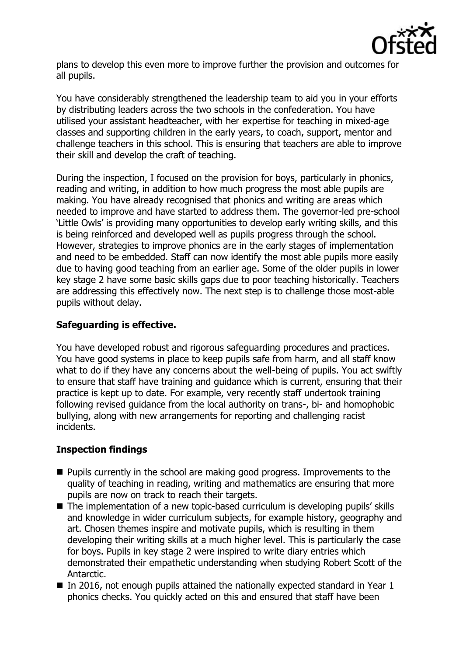

plans to develop this even more to improve further the provision and outcomes for all pupils.

You have considerably strengthened the leadership team to aid you in your efforts by distributing leaders across the two schools in the confederation. You have utilised your assistant headteacher, with her expertise for teaching in mixed-age classes and supporting children in the early years, to coach, support, mentor and challenge teachers in this school. This is ensuring that teachers are able to improve their skill and develop the craft of teaching.

During the inspection, I focused on the provision for boys, particularly in phonics, reading and writing, in addition to how much progress the most able pupils are making. You have already recognised that phonics and writing are areas which needed to improve and have started to address them. The governor-led pre-school 'Little Owls' is providing many opportunities to develop early writing skills, and this is being reinforced and developed well as pupils progress through the school. However, strategies to improve phonics are in the early stages of implementation and need to be embedded. Staff can now identify the most able pupils more easily due to having good teaching from an earlier age. Some of the older pupils in lower key stage 2 have some basic skills gaps due to poor teaching historically. Teachers are addressing this effectively now. The next step is to challenge those most-able pupils without delay.

# **Safeguarding is effective.**

You have developed robust and rigorous safeguarding procedures and practices. You have good systems in place to keep pupils safe from harm, and all staff know what to do if they have any concerns about the well-being of pupils. You act swiftly to ensure that staff have training and guidance which is current, ensuring that their practice is kept up to date. For example, very recently staff undertook training following revised guidance from the local authority on trans-, bi- and homophobic bullying, along with new arrangements for reporting and challenging racist incidents.

# **Inspection findings**

- $\blacksquare$  Pupils currently in the school are making good progress. Improvements to the quality of teaching in reading, writing and mathematics are ensuring that more pupils are now on track to reach their targets.
- The implementation of a new topic-based curriculum is developing pupils' skills and knowledge in wider curriculum subjects, for example history, geography and art. Chosen themes inspire and motivate pupils, which is resulting in them developing their writing skills at a much higher level. This is particularly the case for boys. Pupils in key stage 2 were inspired to write diary entries which demonstrated their empathetic understanding when studying Robert Scott of the Antarctic.
- In 2016, not enough pupils attained the nationally expected standard in Year  $1$ phonics checks. You quickly acted on this and ensured that staff have been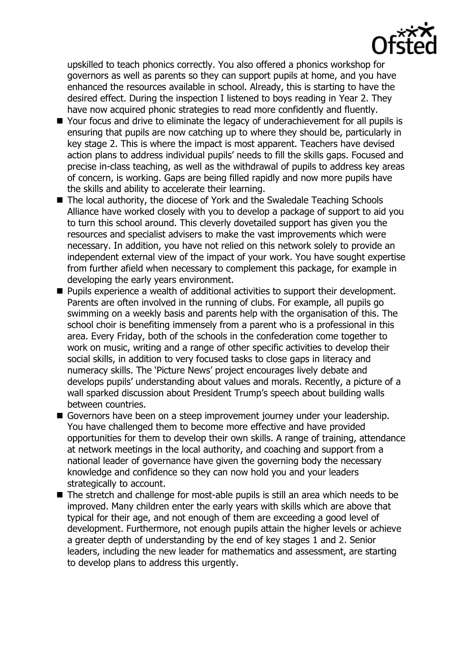

upskilled to teach phonics correctly. You also offered a phonics workshop for governors as well as parents so they can support pupils at home, and you have enhanced the resources available in school. Already, this is starting to have the desired effect. During the inspection I listened to boys reading in Year 2. They have now acquired phonic strategies to read more confidently and fluently.

- Your focus and drive to eliminate the legacy of underachievement for all pupils is ensuring that pupils are now catching up to where they should be, particularly in key stage 2. This is where the impact is most apparent. Teachers have devised action plans to address individual pupils' needs to fill the skills gaps. Focused and precise in-class teaching, as well as the withdrawal of pupils to address key areas of concern, is working. Gaps are being filled rapidly and now more pupils have the skills and ability to accelerate their learning.
- The local authority, the diocese of York and the Swaledale Teaching Schools Alliance have worked closely with you to develop a package of support to aid you to turn this school around. This cleverly dovetailed support has given you the resources and specialist advisers to make the vast improvements which were necessary. In addition, you have not relied on this network solely to provide an independent external view of the impact of your work. You have sought expertise from further afield when necessary to complement this package, for example in developing the early years environment.
- **Pupils experience a wealth of additional activities to support their development.** Parents are often involved in the running of clubs. For example, all pupils go swimming on a weekly basis and parents help with the organisation of this. The school choir is benefiting immensely from a parent who is a professional in this area. Every Friday, both of the schools in the confederation come together to work on music, writing and a range of other specific activities to develop their social skills, in addition to very focused tasks to close gaps in literacy and numeracy skills. The 'Picture News' project encourages lively debate and develops pupils' understanding about values and morals. Recently, a picture of a wall sparked discussion about President Trump's speech about building walls between countries.
- Governors have been on a steep improvement journey under your leadership. You have challenged them to become more effective and have provided opportunities for them to develop their own skills. A range of training, attendance at network meetings in the local authority, and coaching and support from a national leader of governance have given the governing body the necessary knowledge and confidence so they can now hold you and your leaders strategically to account.
- The stretch and challenge for most-able pupils is still an area which needs to be improved. Many children enter the early years with skills which are above that typical for their age, and not enough of them are exceeding a good level of development. Furthermore, not enough pupils attain the higher levels or achieve a greater depth of understanding by the end of key stages 1 and 2. Senior leaders, including the new leader for mathematics and assessment, are starting to develop plans to address this urgently.